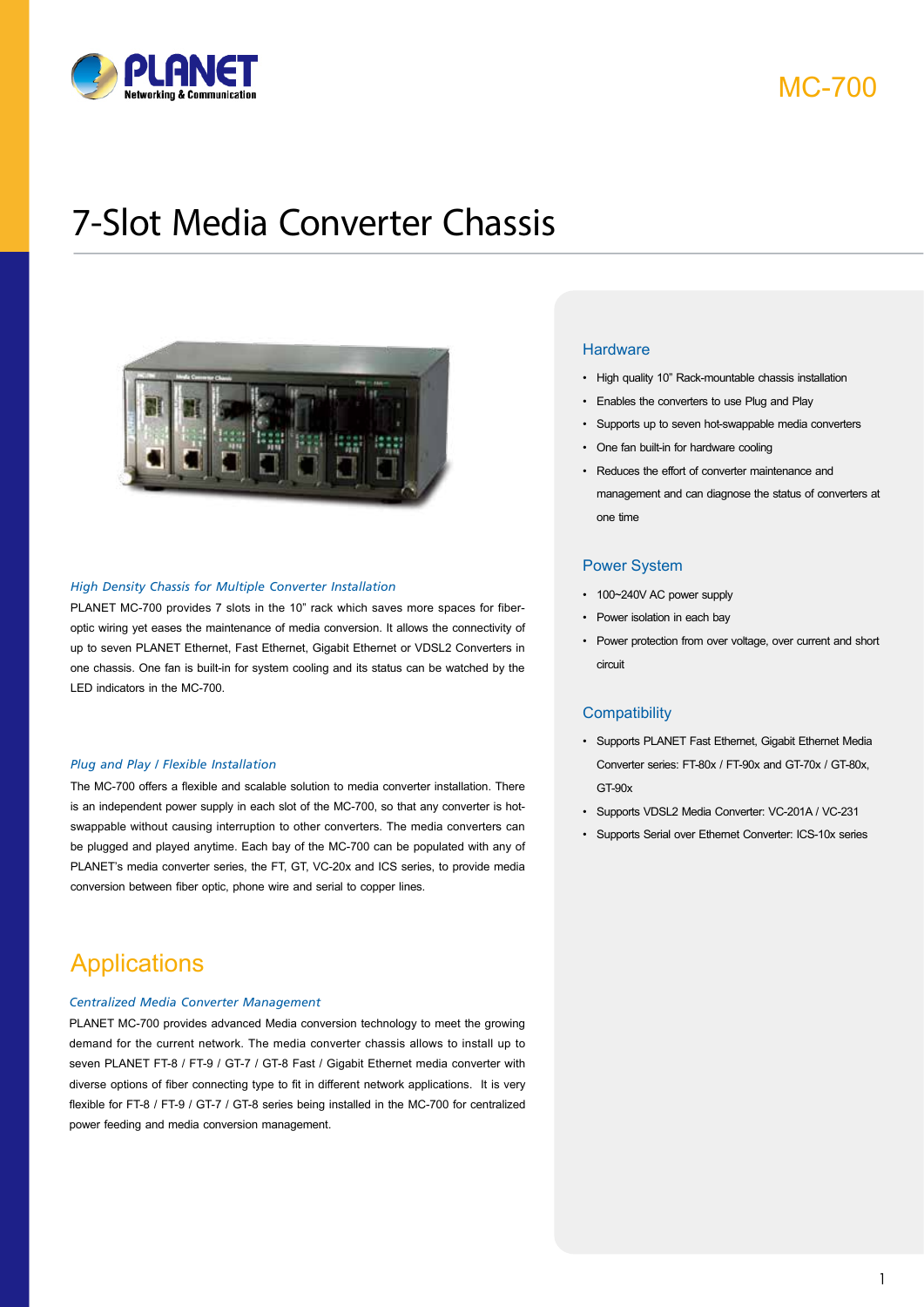

MC-700

# 7-Slot Media Converter Chassis



#### *High Density Chassis for Multiple Converter Installation*

PLANET MC-700 provides 7 slots in the 10" rack which saves more spaces for fiberoptic wiring yet eases the maintenance of media conversion. It allows the connectivity of up to seven PLANET Ethernet, Fast Ethernet, Gigabit Ethernet or VDSL2 Converters in one chassis. One fan is built-in for system cooling and its status can be watched by the LED indicators in the MC-700.

#### *Plug and Play / Flexible Installation*

The MC-700 offers a flexible and scalable solution to media converter installation. There is an independent power supply in each slot of the MC-700, so that any converter is hotswappable without causing interruption to other converters. The media converters can be plugged and played anytime. Each bay of the MC-700 can be populated with any of PLANET's media converter series, the FT, GT, VC-20x and ICS series, to provide media conversion between fiber optic, phone wire and serial to copper lines.

### **Applications**

#### *Centralized Media Converter Management*

PLANET MC-700 provides advanced Media conversion technology to meet the growing demand for the current network. The media converter chassis allows to install up to seven PLANET FT-8 / FT-9 / GT-7 / GT-8 Fast / Gigabit Ethernet media converter with diverse options of fiber connecting type to fit in different network applications. It is very flexible for FT-8 / FT-9 / GT-7 / GT-8 series being installed in the MC-700 for centralized power feeding and media conversion management.

#### **Hardware**

- High quality 10" Rack-mountable chassis installation
- Enables the converters to use Plug and Play
- Supports up to seven hot-swappable media converters
- One fan built-in for hardware cooling
- Reduces the effort of converter maintenance and management and can diagnose the status of converters at one time

#### Power System

- 100~240V AC power supply
- Power isolation in each bay
- Power protection from over voltage, over current and short circuit

#### **Compatibility**

- Supports PLANET Fast Ethernet, Gigabit Ethernet Media Converter series: FT-80x / FT-90x and GT-70x / GT-80x, GT-90x
- Supports VDSL2 Media Converter: VC-201A / VC-231
- Supports Serial over Ethernet Converter: ICS-10x series